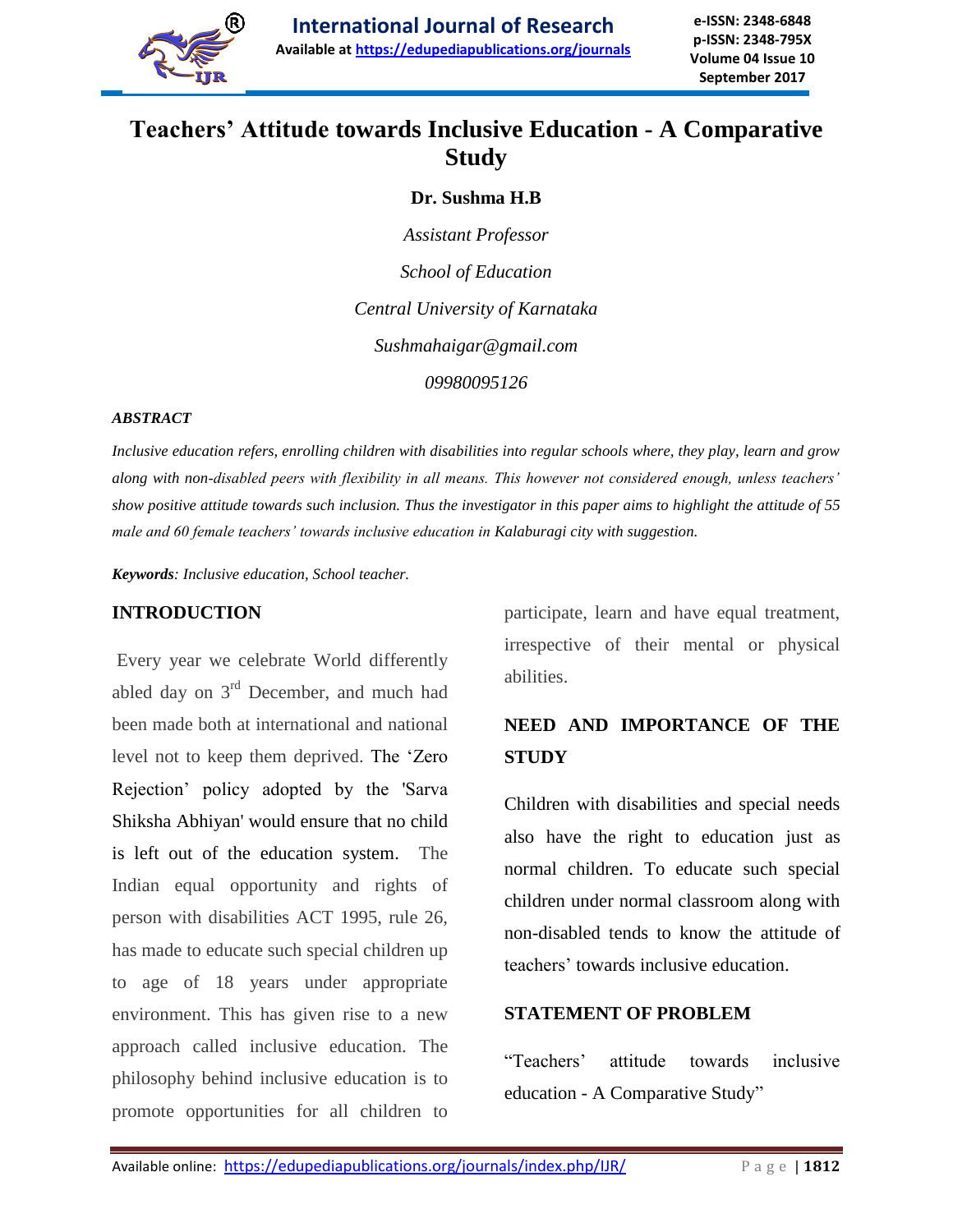

# **Teachers' Attitude towards Inclusive Education - A Comparative Study**

### **Dr. Sushma H.B**

*Assistant Professor School of Education Central University of Karnataka Sushmahaigar@gmail.com 09980095126*

#### *ABSTRACT*

*Inclusive education refers, enrolling children with disabilities into regular schools where, they play, learn and grow along with non-disabled peers with flexibility in all means. This however not considered enough, unless teachers' show positive attitude towards such inclusion. Thus the investigator in this paper aims to highlight the attitude of 55 male and 60 female teachers' towards inclusive education in Kalaburagi city with suggestion.*

*Keywords: Inclusive education, School teacher.*

#### **INTRODUCTION**

Every year we celebrate World differently abled day on 3rd December, and much had been made both at international and national level not to keep them deprived. The "Zero Rejection" policy adopted by the 'Sarva Shiksha Abhiyan' would ensure that no child is left out of the education system. The Indian equal opportunity and rights of person with disabilities ACT 1995, rule 26, has made to educate such special children up to age of 18 years under appropriate environment. This has given rise to a new approach called inclusive education. The philosophy behind inclusive education is to promote opportunities for all children to

participate, learn and have equal treatment, irrespective of their mental or physical abilities.

# **NEED AND IMPORTANCE OF THE STUDY**

Children with disabilities and special needs also have the right to education just as normal children. To educate such special children under normal classroom along with non-disabled tends to know the attitude of teachers" towards inclusive education.

#### **STATEMENT OF PROBLEM**

"Teachers" attitude towards inclusive education - A Comparative Study"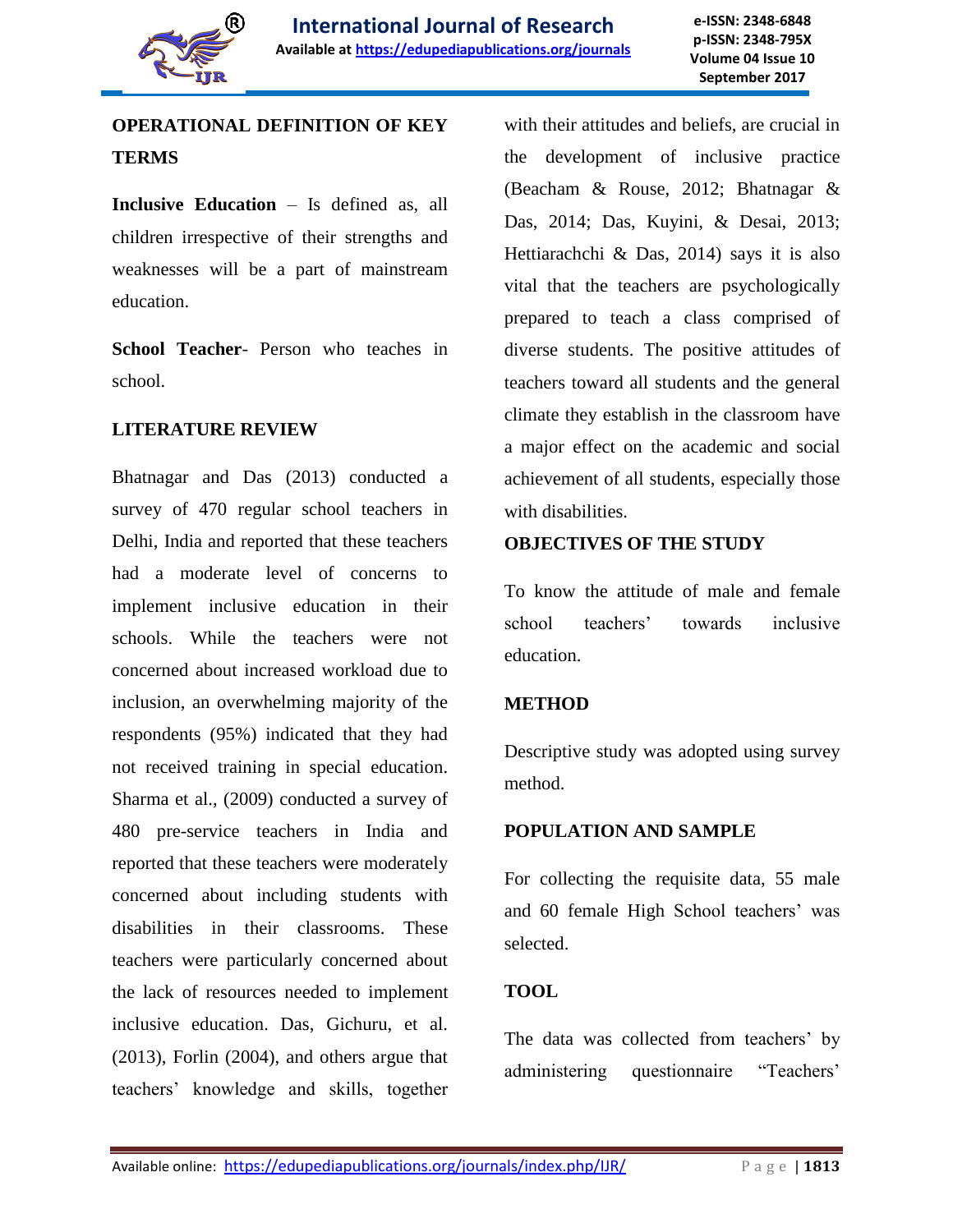

# **OPERATIONAL DEFINITION OF KEY TERMS**

**Inclusive Education** – Is defined as, all children irrespective of their strengths and weaknesses will be a part of mainstream education.

**School Teacher**- Person who teaches in school.

### **LITERATURE REVIEW**

Bhatnagar and Das (2013) conducted a survey of 470 regular school teachers in Delhi, India and reported that these teachers had a moderate level of concerns to implement inclusive education in their schools. While the teachers were not concerned about increased workload due to inclusion, an overwhelming majority of the respondents (95%) indicated that they had not received training in special education. Sharma et al., (2009) conducted a survey of 480 pre-service teachers in India and reported that these teachers were moderately concerned about including students with disabilities in their classrooms. These teachers were particularly concerned about the lack of resources needed to implement inclusive education. Das, Gichuru, et al. (2013), Forlin (2004), and others argue that teachers" knowledge and skills, together

with their attitudes and beliefs, are crucial in the development of inclusive practice (Beacham & Rouse, 2012; Bhatnagar & Das, 2014; Das, Kuyini, & Desai, 2013; Hettiarachchi & Das, 2014) says it is also vital that the teachers are psychologically prepared to teach a class comprised of diverse students. The positive attitudes of teachers toward all students and the general climate they establish in the classroom have a major effect on the academic and social achievement of all students, especially those with disabilities.

#### **OBJECTIVES OF THE STUDY**

To know the attitude of male and female school teachers' towards inclusive education.

#### **METHOD**

Descriptive study was adopted using survey method.

#### **POPULATION AND SAMPLE**

For collecting the requisite data, 55 male and 60 female High School teachers' was selected.

### **TOOL**

The data was collected from teachers' by administering questionnaire "Teachers"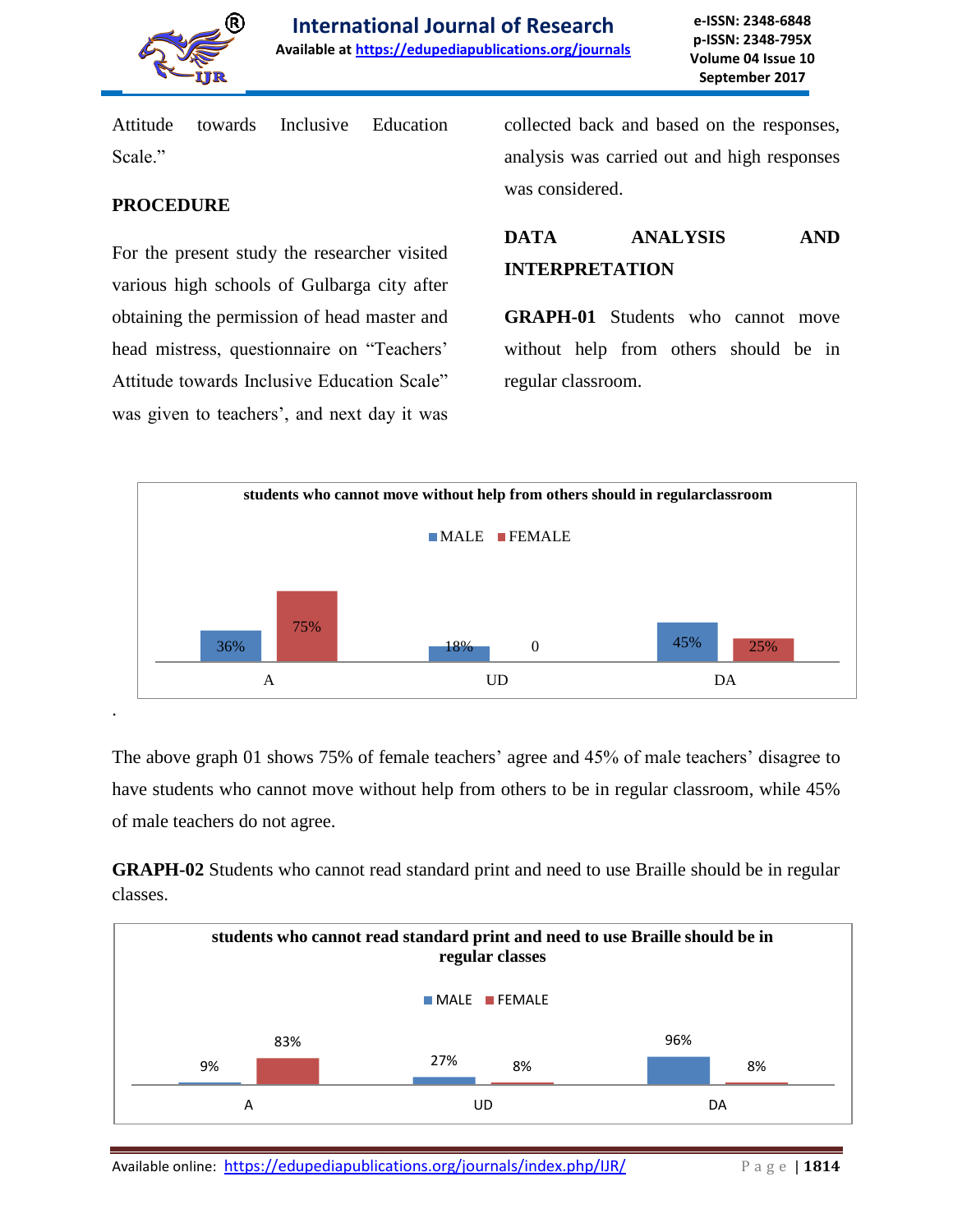

Attitude towards Inclusive Education Scale"

### **PROCEDURE**

For the present study the researcher visited various high schools of Gulbarga city after obtaining the permission of head master and head mistress, questionnaire on "Teachers" Attitude towards Inclusive Education Scale" was given to teachers', and next day it was

collected back and based on the responses, analysis was carried out and high responses was considered.

# **DATA ANALYSIS AND INTERPRETATION**

**GRAPH-01** Students who cannot move without help from others should be in regular classroom.



The above graph 01 shows 75% of female teachers' agree and 45% of male teachers' disagree to have students who cannot move without help from others to be in regular classroom, while 45% of male teachers do not agree.

**GRAPH-02** Students who cannot read standard print and need to use Braille should be in regular classes.

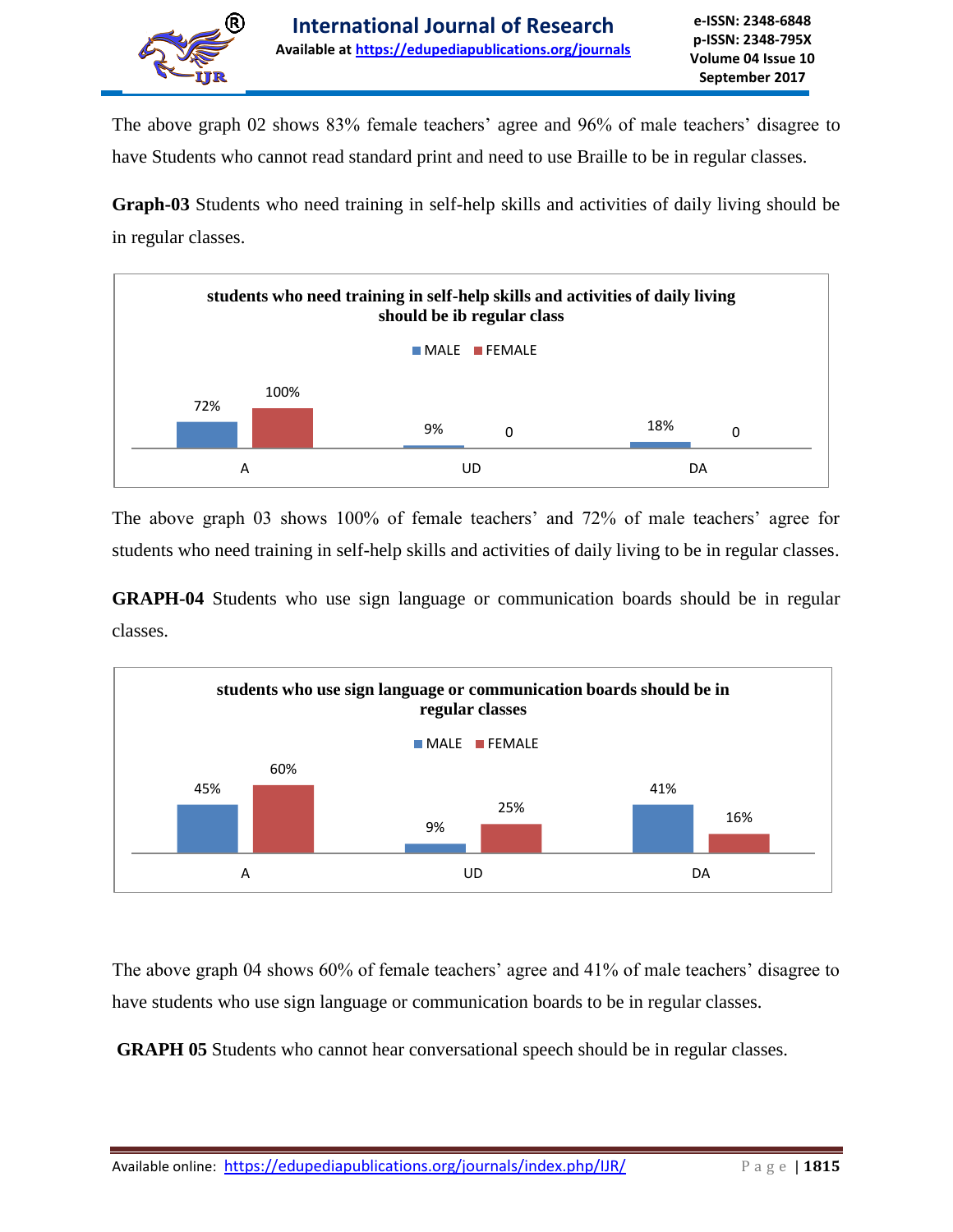

The above graph 02 shows 83% female teachers' agree and 96% of male teachers' disagree to have Students who cannot read standard print and need to use Braille to be in regular classes.

**Graph-03** Students who need training in self-help skills and activities of daily living should be in regular classes.



The above graph 03 shows 100% of female teachers' and 72% of male teachers' agree for students who need training in self-help skills and activities of daily living to be in regular classes.

**GRAPH-04** Students who use sign language or communication boards should be in regular classes.



The above graph 04 shows 60% of female teachers' agree and 41% of male teachers' disagree to have students who use sign language or communication boards to be in regular classes.

**GRAPH 05** Students who cannot hear conversational speech should be in regular classes.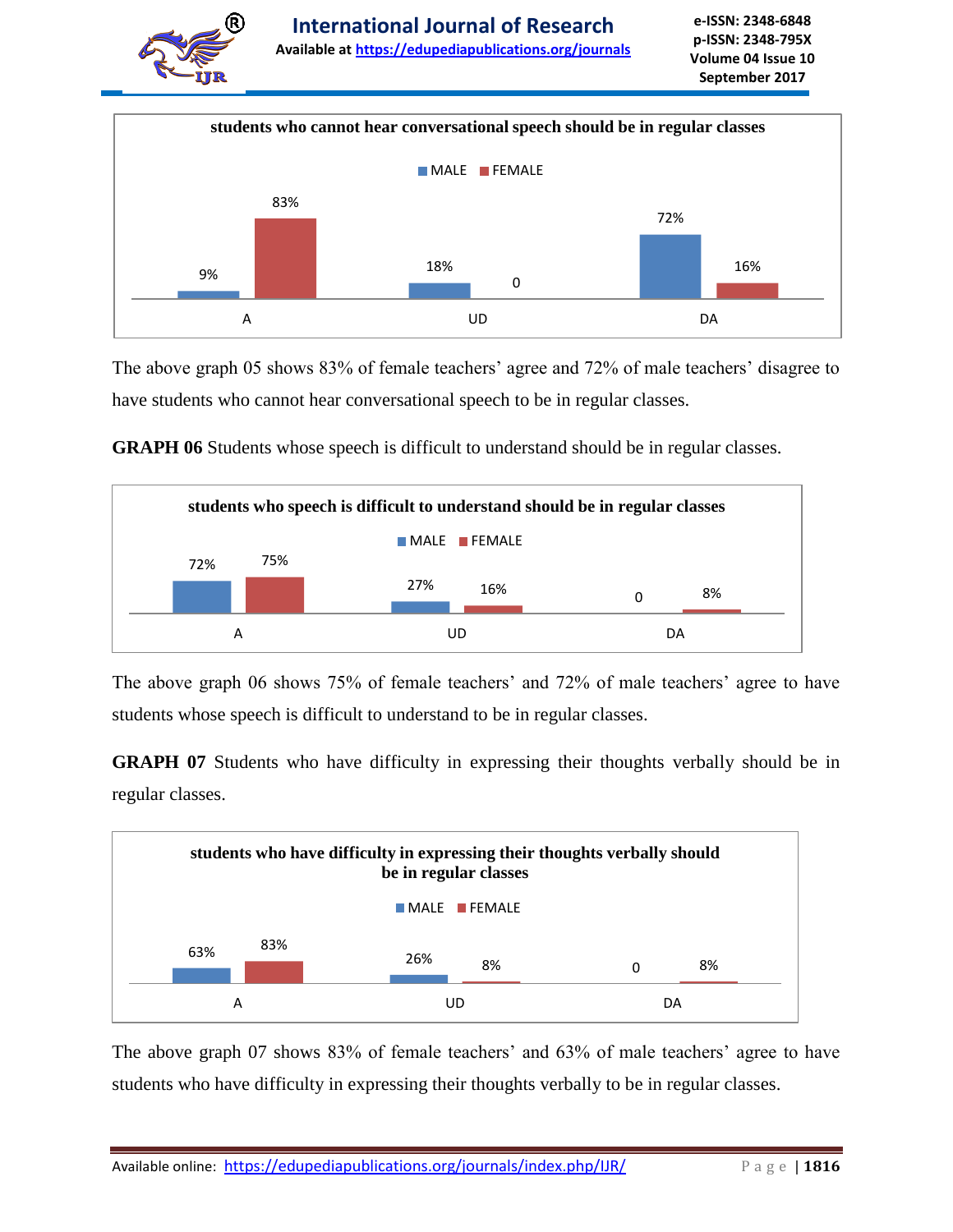



The above graph 05 shows 83% of female teachers' agree and 72% of male teachers' disagree to have students who cannot hear conversational speech to be in regular classes.

**GRAPH 06** Students whose speech is difficult to understand should be in regular classes.



The above graph 06 shows 75% of female teachers' and 72% of male teachers' agree to have students whose speech is difficult to understand to be in regular classes.

**GRAPH 07** Students who have difficulty in expressing their thoughts verbally should be in regular classes.



The above graph 07 shows 83% of female teachers' and 63% of male teachers' agree to have students who have difficulty in expressing their thoughts verbally to be in regular classes.